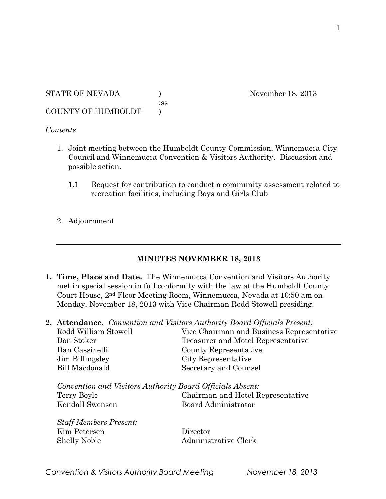# STATE OF NEVADA ) November 18, 2013 :ss

COUNTY OF HUMBOLDT )

## *Contents*

- 1. Joint meeting between the Humboldt County Commission, Winnemucca City Council and Winnemucca Convention & Visitors Authority. Discussion and possible action.
	- 1.1 Request for contribution to conduct a community assessment related to recreation facilities, including Boys and Girls Club
- 2. Adjournment

## **MINUTES NOVEMBER 18, 2013**

- **1. Time, Place and Date.** The Winnemucca Convention and Visitors Authority met in special session in full conformity with the law at the Humboldt County Court House, 2nd Floor Meeting Room, Winnemucca, Nevada at 10:50 am on Monday, November 18, 2013 with Vice Chairman Rodd Stowell presiding.
- **2. Attendance.** *Convention and Visitors Authority Board Officials Present:*

| Rodd William Stowell                                      | Vice Chairman and Business Representative |
|-----------------------------------------------------------|-------------------------------------------|
| Don Stoker                                                | Treasurer and Motel Representative        |
| Dan Cassinelli                                            | County Representative                     |
| Jim Billingsley                                           | City Representative                       |
| <b>Bill Macdonald</b>                                     | Secretary and Counsel                     |
| Convention and Visitors Authority Board Officials Absent: |                                           |
| Terry Boyle                                               | Chairman and Hotel Representative         |
| Kendall Swensen                                           | Board Administrator                       |

*Staff Members Present:* Kim Petersen Director Shelly Noble Administrative Clerk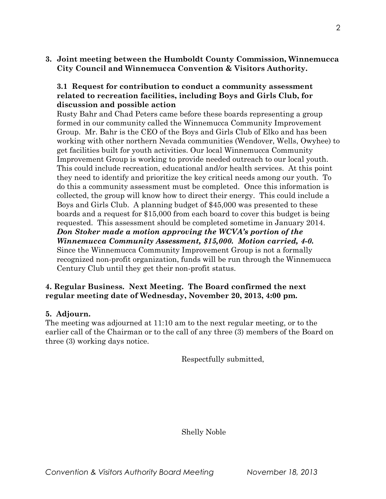**3. Joint meeting between the Humboldt County Commission, Winnemucca City Council and Winnemucca Convention & Visitors Authority.** 

#### **3.1 Request for contribution to conduct a community assessment related to recreation facilities, including Boys and Girls Club, for discussion and possible action**

Rusty Bahr and Chad Peters came before these boards representing a group formed in our community called the Winnemucca Community Improvement Group. Mr. Bahr is the CEO of the Boys and Girls Club of Elko and has been working with other northern Nevada communities (Wendover, Wells, Owyhee) to get facilities built for youth activities. Our local Winnemucca Community Improvement Group is working to provide needed outreach to our local youth. This could include recreation, educational and/or health services. At this point they need to identify and prioritize the key critical needs among our youth. To do this a community assessment must be completed. Once this information is collected, the group will know how to direct their energy. This could include a Boys and Girls Club. A planning budget of \$45,000 was presented to these boards and a request for \$15,000 from each board to cover this budget is being requested. This assessment should be completed sometime in January 2014. *Don Stoker made a motion approving the WCVA's portion of the Winnemucca Community Assessment, \$15,000. Motion carried, 4-0.* Since the Winnemucca Community Improvement Group is not a formally

recognized non-profit organization, funds will be run through the Winnemucca Century Club until they get their non-profit status.

#### **4. Regular Business. Next Meeting. The Board confirmed the next regular meeting date of Wednesday, November 20, 2013, 4:00 pm.**

### **5. Adjourn.**

The meeting was adjourned at 11:10 am to the next regular meeting, or to the earlier call of the Chairman or to the call of any three (3) members of the Board on three (3) working days notice.

Respectfully submitted,

Shelly Noble